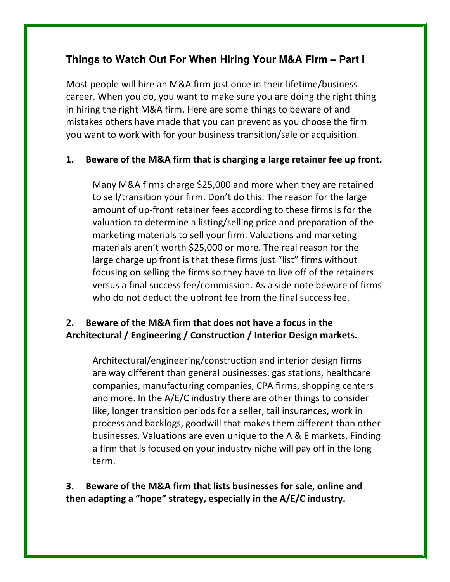# **Things to Watch Out For When Hiring Your M&A Firm – Part I**

Most people will hire an M&A firm just once in their lifetime/business career. When you do, you want to make sure you are doing the right thing in hiring the right M&A firm. Here are some things to beware of and mistakes others have made that you can prevent as you choose the firm you want to work with for your business transition/sale or acquisition.

#### **1.** Beware of the M&A firm that is charging a large retainer fee up front.

Many M&A firms charge \$25,000 and more when they are retained to sell/transition your firm. Don't do this. The reason for the large amount of up-front retainer fees according to these firms is for the valuation to determine a listing/selling price and preparation of the marketing materials to sell your firm. Valuations and marketing materials aren't worth \$25,000 or more. The real reason for the large charge up front is that these firms just "list" firms without focusing on selling the firms so they have to live off of the retainers versus a final success fee/commission. As a side note beware of firms who do not deduct the upfront fee from the final success fee.

## **2.** Beware of the M&A firm that does not have a focus in the Architectural / Engineering / Construction / Interior Design markets.

Architectural/engineering/construction and interior design firms are way different than general businesses: gas stations, healthcare companies, manufacturing companies, CPA firms, shopping centers and more. In the  $A/E/C$  industry there are other things to consider like, longer transition periods for a seller, tail insurances, work in process and backlogs, goodwill that makes them different than other businesses. Valuations are even unique to the A & E markets. Finding a firm that is focused on your industry niche will pay off in the long term.

## **3.** Beware of the M&A firm that lists businesses for sale, online and then adapting a "hope" strategy, especially in the A/E/C industry.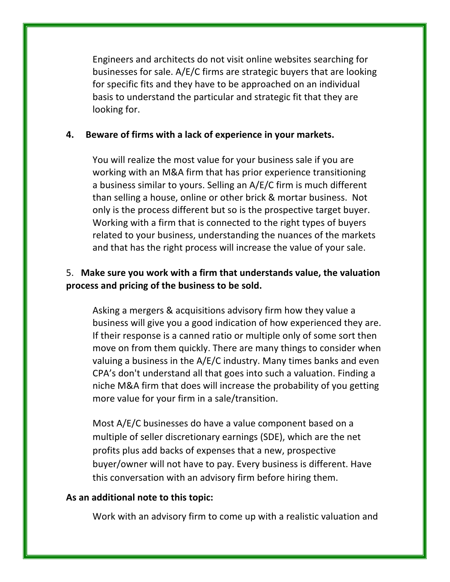Engineers and architects do not visit online websites searching for businesses for sale. A/E/C firms are strategic buyers that are looking for specific fits and they have to be approached on an individual basis to understand the particular and strategic fit that they are looking for.

#### **4.** Beware of firms with a lack of experience in your markets.

You will realize the most value for your business sale if you are working with an M&A firm that has prior experience transitioning a business similar to yours. Selling an A/E/C firm is much different than selling a house, online or other brick & mortar business. Not only is the process different but so is the prospective target buyer. Working with a firm that is connected to the right types of buyers related to your business, understanding the nuances of the markets and that has the right process will increase the value of your sale.

#### 5. Make sure you work with a firm that understands value, the valuation process and pricing of the business to be sold.

Asking a mergers & acquisitions advisory firm how they value a business will give you a good indication of how experienced they are. If their response is a canned ratio or multiple only of some sort then move on from them quickly. There are many things to consider when valuing a business in the  $A/E/C$  industry. Many times banks and even CPA's don't understand all that goes into such a valuation. Finding a niche M&A firm that does will increase the probability of you getting more value for your firm in a sale/transition.

Most A/E/C businesses do have a value component based on a multiple of seller discretionary earnings (SDE), which are the net profits plus add backs of expenses that a new, prospective buyer/owner will not have to pay. Every business is different. Have this conversation with an advisory firm before hiring them.

#### As an additional note to this topic:

Work with an advisory firm to come up with a realistic valuation and